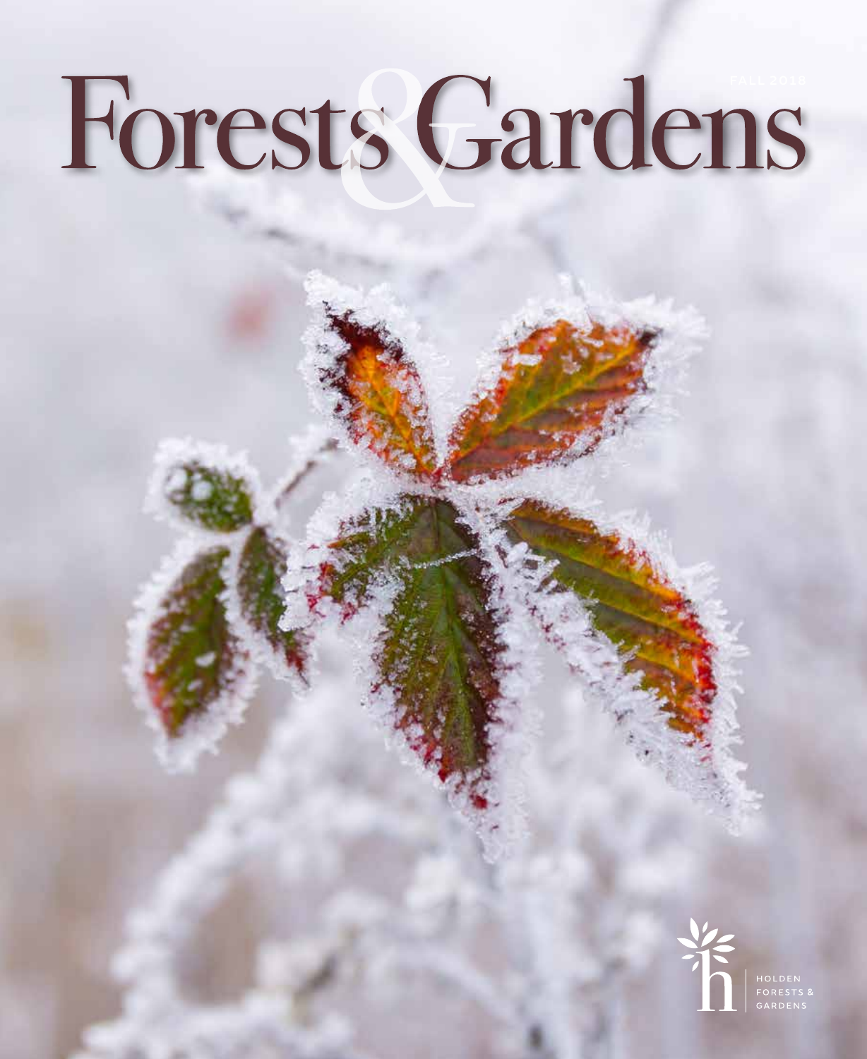# Forests Gardens

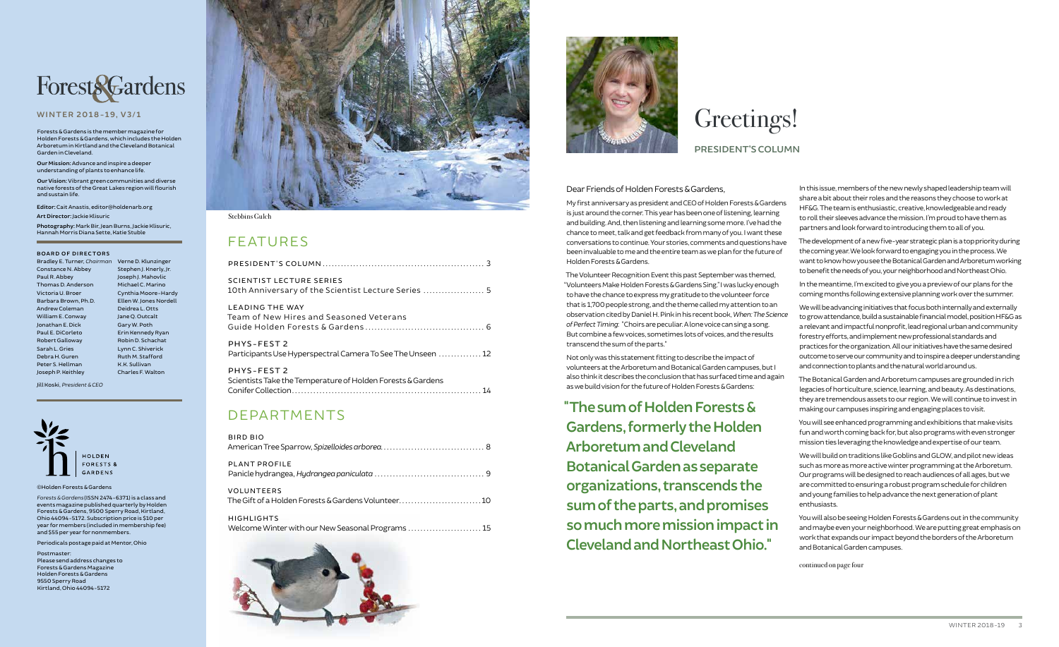### FEATURES

| SCIENTIST LECTURE SERIES                            |  |
|-----------------------------------------------------|--|
| 10th Anniversary of the Scientist Lecture Series  5 |  |

| <b>LEADING THE WAY</b>                   |  |
|------------------------------------------|--|
| Team of New Hires and Seasoned Veterans. |  |
|                                          |  |

PHYS-FEST 2 Participants Use Hyperspectral Camera To See The Unseen .............. 12

| PHYS-FEST 2                                                 |  |
|-------------------------------------------------------------|--|
| Scientists Take the Temperature of Holden Forests & Gardens |  |
|                                                             |  |

### DEPARTMENTS

| <b>BIRD BIO</b>                                                         |
|-------------------------------------------------------------------------|
| <b>PLANT PROFILE</b>                                                    |
| <b>VOLUNTEERS</b><br>The Gift of a Holden Forests & Gardens Volunteer10 |
| <b>HIGHLIGHTS</b><br>Welcome Winter with our New Seasonal Programs  15  |





©Holden Forests & Gardens

*Forests & Gardens* (ISSN 2474-6371) is a class and events magazine published quarterly by Holden Forests & Gardens, 9500 Sperry Road, Kirtland, Ohio 44094-5172. Subscription price is \$10 per year for members (included in membership fee) and \$55 per year for nonmembers.

Periodicals postage paid at Mentor, Ohio

Postmaster: Please send address changes to Forests & Gardens Magazine Holden Forests & Gardens 9550 Sperry Road Kirtland, Ohio 44094-5172



# **ForestsGardens**

#### **WINTER 2018-19, V3/1**

**Editor:** Cait Anastis, editor@holdenarb.org

**Art Director:** Jackie Klisuric

**Photography:** Mark Bir, Jean Burns, Jackie Klisuric, Hannah Morris Diana Sette, Katie Stuble

#### **BOARD OF DIRECTORS**

Bradley E. Turner, *Chairman* Verne D. Klunzinger Constance N. Abbey Paul R. Abbey Thomas D. Anderson Victoria U. Broer Barbara Brown, Ph.D. Andrew Coleman William E. Conway Jonathan E. Dick Paul E. DiCorleto Robert Galloway Sarah L. Gries Debra H. Guren Peter S. Hellman Joseph P. Keithley

Stephen J. Knerly, Jr. Joseph J. Mahovlic Michael C. Marino Cynthia Moore-Hardy Ellen W. Jones Nordell Deidrea L. Otts Jane Q. Outcalt Gary W. Poth Erin Kennedy Ryan Robin D. Schachat Lynn C. Shiverick Ruth M. Stafford K.K. Sullivan Charles F. Walton

Jill Koski, *President & CEO*



Forests & Gardens is the member magazine for Holden Forests & Gardens, which includes the Holden Arboretum in Kirtland and the Cleveland Botanical Garden in Cleveland.

**Our Mission:** Advance and inspire a deeper understanding of plants to enhance life.

**Our Vision:** Vibrant green communities and diverse native forests of the Great Lakes region will flourish and sustain life.

#### Stebbins Gulch

#### Dear Friends of Holden Forests & Gardens,

My first anniversary as president and CEO of Holden Forests & Gardens is just around the corner. This year has been one of listening, learning and building. And, then listening and learning some more. I've had the chance to meet, talk and get feedback from many of you. I want these conversations to continue. Your stories, comments and questions have been invaluable to me and the entire team as we plan for the future of Holden Forests & Gardens.

The Volunteer Recognition Event this past September was themed, "Volunteers Make Holden Forests & Gardens Sing." I was lucky enough to have the chance to express my gratitude to the volunteer force that is 1,700 people strong, and the theme called my attention to an observation cited by Daniel H. Pink in his recent book, *When: The Science of Perfect Timing*: "Choirs are peculiar. A lone voice can sing a song. But combine a few voices, sometimes lots of voices, and the results transcend the sum of the parts."

Not only was this statement fitting to describe the impact of volunteers at the Arboretum and Botanical Garden campuses, but I also think it describes the conclusion that has surfaced time and again as we build vision for the future of Holden Forests & Gardens:

**"The sum of Holden Forests & Gardens, formerly the Holden Arboretum and Cleveland Botanical Garden as separate organizations, transcends the sum of the parts, and promises so much more mission impact in Cleveland and Northeast Ohio."**

In this issue, members of the new newly shaped leadership team will share a bit about their roles and the reasons they choose to work at HF&G. The team is enthusiastic, creative, knowledgeable and ready to roll their sleeves advance the mission. I'm proud to have them as partners and look forward to introducing them to all of you.

The development of a new five-year strategic plan is a top priority during the coming year. We look forward to engaging you in the process. We want to know how you see the Botanical Garden and Arboretum working to benefit the needs of you, your neighborhood and Northeast Ohio.

In the meantime, I'm excited to give you a preview of our plans for the coming months following extensive planning work over the summer.

We will be advancing initiatives that focus both internally and externally to grow attendance, build a sustainable financial model, position HF&G as a relevant and impactful nonprofit, lead regional urban and community forestry efforts, and implement new professional standards and practices for the organization. All our initiatives have the same desired outcome to serve our community and to inspire a deeper understanding and connection to plants and the natural world around us.

The Botanical Garden and Arboretum campuses are grounded in rich legacies of horticulture, science, learning, and beauty. As destinations, they are tremendous assets to our region. We will continue to invest in making our campuses inspiring and engaging places to visit.

You will see enhanced programming and exhibitions that make visits fun and worth coming back for, but also programs with even stronger mission ties leveraging the knowledge and expertise of our team.

We will build on traditions like Goblins and GLOW, and pilot new ideas such as more as more active winter programming at the Arboretum. Our programs will be designed to reach audiences of all ages, but we are committed to ensuring a robust program schedule for children and young families to help advance the next generation of plant enthusiasts.

You will also be seeing Holden Forests & Gardens out in the community and maybe even your neighborhood. We are putting great emphasis on work that expands our impact beyond the borders of the Arboretum and Botanical Garden campuses.

### **PRESIDENT'S COLUMN**

# Greetings!

continued on page four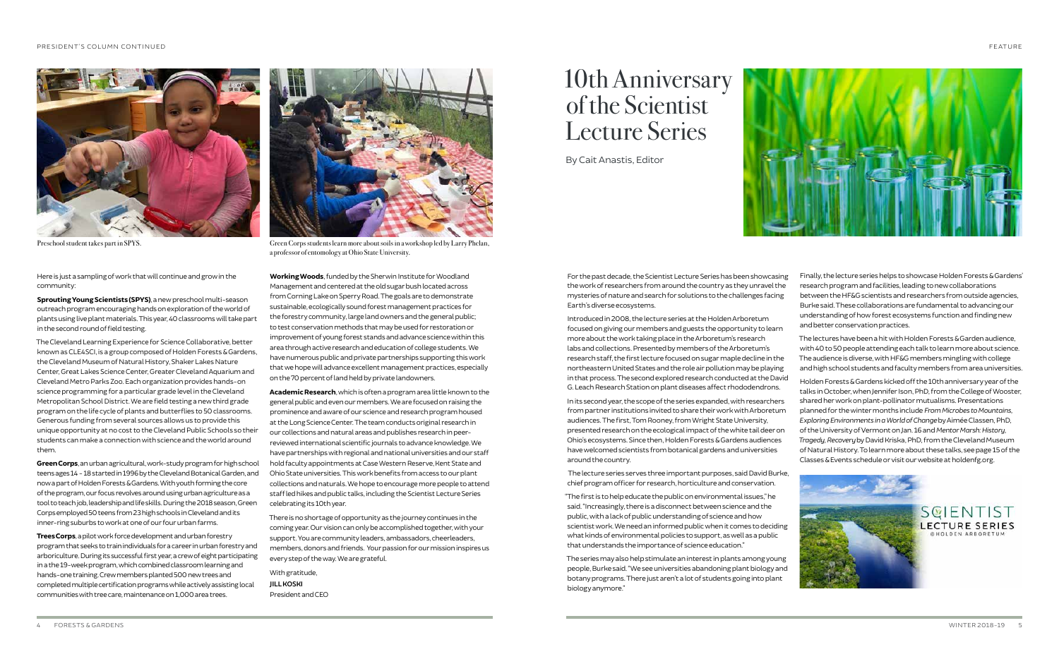



Here is just a sampling of work that will continue and grow in the community:

**Sprouting Young Scientists (SPYS)**, a new preschool multi-season outreach program encouraging hands on exploration of the world of plants using live plant materials. This year, 40 classrooms will take part in the second round of field testing.

The Cleveland Learning Experience for Science Collaborative, better known as CLE4SCI, is a group composed of Holden Forests & Gardens, the Cleveland Museum of Natural History, Shaker Lakes Nature Center, Great Lakes Science Center, Greater Cleveland Aquarium and Cleveland Metro Parks Zoo. Each organization provides hands-on science programming for a particular grade level in the Cleveland Metropolitan School District. We are field testing a new third grade program on the life cycle of plants and butterflies to 50 classrooms. Generous funding from several sources allows us to provide this unique opportunity at no cost to the Cleveland Public Schools so their students can make a connection with science and the world around them.

**Green Corps**, an urban agricultural, work-study program for high school teens ages 14 - 18 started in 1996 by the Cleveland Botanical Garden, and now a part of Holden Forests & Gardens. With youth forming the core of the program, our focus revolves around using urban agriculture as a tool to teach job, leadership and life skills. During the 2018 season, Green Corps employed 50 teens from 23 high schools in Cleveland and its inner-ring suburbs to work at one of our four urban farms.

**Trees Corps**, a pilot work force development and urban forestry program that seeks to train individuals for a career in urban forestry and arboriculture. During its successful first year, a crew of eight participating in a the 19-week program, which combined classroom learning and hands-one training. Crew members planted 500 new trees and completed multiple certification programs while actively assisting local communities with tree care, maintenance on 1,000 area trees.

**Working Woods**, funded by the Sherwin Institute for Woodland Management and centered at the old sugar bush located across from Corning Lake on Sperry Road. The goals are to demonstrate sustainable, ecologically sound forest management practices for the forestry community, large land owners and the general public; to test conservation methods that may be used for restoration or improvement of young forest stands and advance science within this area through active research and education of college students. We have numerous public and private partnerships supporting this work that we hope will advance excellent management practices, especially on the 70 percent of land held by private landowners.

**Academic Research**, which is often a program area little known to the general public and even our members. We are focused on raising the prominence and aware of our science and research program housed at the Long Science Center. The team conducts original research in our collections and natural areas and publishes research in peerreviewed international scientific journals to advance knowledge. We have partnerships with regional and national universities and our staff hold faculty appointments at Case Western Reserve, Kent State and Ohio State universities. This work benefits from access to our plant collections and naturals. We hope to encourage more people to attend staff led hikes and public talks, including the Scientist Lecture Series celebrating its 10th year.

There is no shortage of opportunity as the journey continues in the coming year. Our vision can only be accomplished together, with your support. You are community leaders, ambassadors, cheerleaders, members, donors and friends. Your passion for our mission inspires us every step of the way. We are grateful.

With gratitude, **JILL KOSKI** President and CEO



For the past decade, the Scientist Lecture Series has been showcasing the work of researchers from around the country as they unravel the mysteries of nature and search for solutions to the challenges facing Earth's diverse ecosystems.

Introduced in 2008, the lecture series at the Holden Arboretum focused on giving our members and guests the opportunity to learn more about the work taking place in the Arboretum's research labs and collections. Presented by members of the Arboretum's research staff, the first lecture focused on sugar maple decline in the northeastern United States and the role air pollution may be playing in that process. The second explored research conducted at the David G. Leach Research Station on plant diseases affect rhododendrons.

In its second year, the scope of the series expanded, with researchers from partner institutions invited to share their work with Arboretum audiences. The first, Tom Rooney, from Wright State University, presented research on the ecological impact of the white tail deer on Ohio's ecosystems. Since then, Holden Forests & Gardens audiences have welcomed scientists from botanical gardens and universities around the country.

 The lecture series serves three important purposes, said David Burke, chief program officer for research, horticulture and conservation.

"The first is to help educate the public on environmental issues," he said. "Increasingly, there is a disconnect between science and the public, with a lack of public understanding of science and how scientist work. We need an informed public when it comes to deciding what kinds of environmental policies to support, as well as a public that understands the importance of science education."

The series may also help stimulate an interest in plants among young people, Burke said. "We see universities abandoning plant biology and botany programs. There just aren't a lot of students going into plant biology anymore."

Finally, the lecture series helps to showcase Holden Forests & Gardens' research program and facilities, leading to new collaborations between the HF&G scientists and researchers from outside agencies, Burke said. These collaborations are fundamental to advancing our understanding of how forest ecosystems function and finding new and better conservation practices.

The lectures have been a hit with Holden Forests & Garden audience, with 40 to 50 people attending each talk to learn more about science. The audience is diverse, with HF&G members mingling with college and high school students and faculty members from area universities.

Holden Forests & Gardens kicked off the 10th anniversary year of the talks in October, when Jennifer Ison, PhD, from the College of Wooster, shared her work on plant-pollinator mutualisms. Presentations planned for the winter months include *From Microbes to Mountains, Exploring Environments in a World of Change* by Aimée Classen, PhD, of the University of Vermont on Jan. 16 and *Mentor Marsh: History, Tragedy, Recovery* by David Kriska, PhD, from the Cleveland Museum of Natural History. To learn more about these talks, see page 15 of the Classes & Events schedule or visit our website at holdenfg.org.

> SQIENTIST **LECTURE SERIES**

### 10th Anniversary of the Scientist Lecture Series

By Cait Anastis, Editor

Preschool student takes part in SPYS. Green Corps students learn more about soils in a workshop led by Larry Phelan, a professor of entomology at Ohio State University.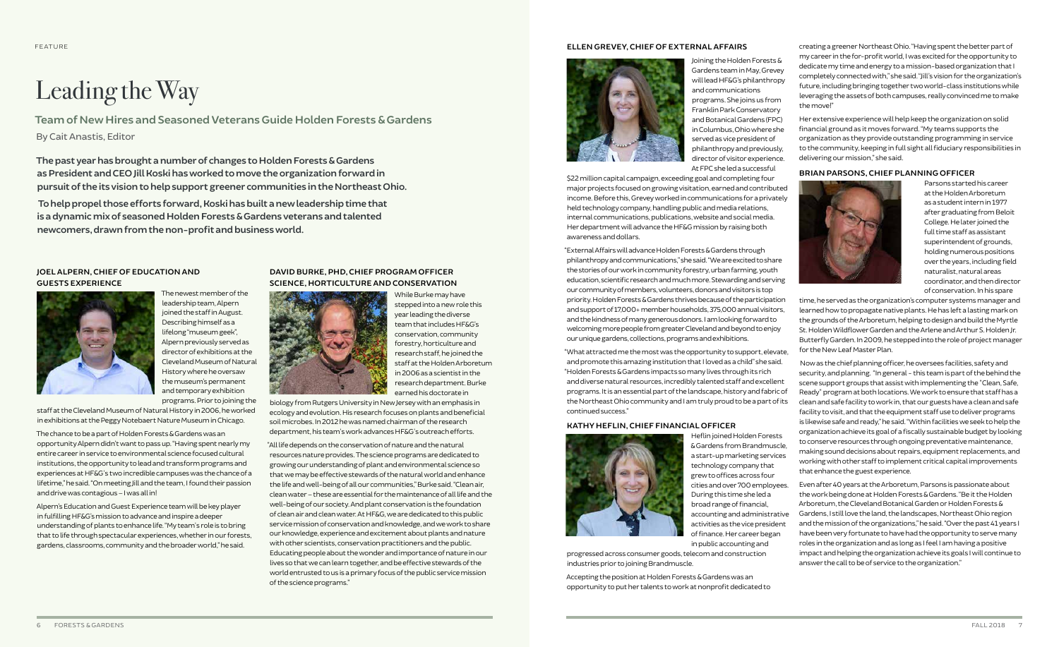#### **JOEL ALPERN, CHIEF OF EDUCATION AND GUESTS EXPERIENCE**



The newest member of the leadership team, Alpern joined the staff in August. Describing himself as a lifelong "museum geek", Alpern previously served as director of exhibitions at the Cleveland Museum of Natural History where he oversaw the museum's permanent and temporary exhibition programs. Prior to joining the

staff at the Cleveland Museum of Natural History in 2006, he worked in exhibitions at the Peggy Notebaert Nature Museum in Chicago.

The chance to be a part of Holden Forests & Gardens was an opportunity Alpern didn't want to pass up. "Having spent nearly my entire career in service to environmental science focused cultural institutions, the opportunity to lead and transform programs and experiences at HF&G's two incredible campuses was the chance of a lifetime," he said. "On meeting Jill and the team, I found their passion and drive was contagious – I was all in!

Alpern's Education and Guest Experience team will be key player in fulfilling HF&G's mission to advance and inspire a deeper understanding of plants to enhance life. "My team's role is to bring that to life through spectacular experiences, whether in our forests, gardens, classrooms, community and the broader world," he said.

creating a greener Northeast Ohio. "Having spent the better part of my career in the for-profit world, I was excited for the opportunity to dedicate my time and energy to a mission-based organization that I completely connected with," she said. "Jill's vision for the organization's future, including bringing together two world-class institutions while leveraging the assets of both campuses, really convinced me to make the move!"

Her extensive experience will help keep the organization on solid financial ground as it moves forward. "My teams supports the organization as they provide outstanding programming in service to the community, keeping in full sight all fiduciary responsibilities in delivering our mission," she said.

#### **BRIAN PARSONS, CHIEF PLANNING OFFICER**



Parsons started his career at the Holden Arboretum as a student intern in 1977 after graduating from Beloit College. He later joined the full time staff as assistant superintendent of grounds, holding numerous positions over the years, including field naturalist, natural areas coordinator, and then director of conservation. In his spare

time, he served as the organization's computer systems manager and learned how to propagate native plants. He has left a lasting mark on the grounds of the Arboretum, helping to design and build the Myrtle St. Holden Wildflower Garden and the Arlene and Arthur S. Holden Jr. Butterfly Garden. In 2009, he stepped into the role of project manager for the New Leaf Master Plan.

 Now as the chief planning officer, he oversees facilities, safety and security, and planning. "In general - this team is part of the behind the scene support groups that assist with implementing the "Clean, Safe, Ready" program at both locations. We work to ensure that staff has a clean and safe facility to work in, that our guests have a clean and safe facility to visit, and that the equipment staff use to deliver programs is likewise safe and ready," he said. "Within facilities we seek to help the organization achieve its goal of a fiscally sustainable budget by looking to conserve resources through ongoing preventative maintenance, making sound decisions about repairs, equipment replacements, and working with other staff to implement critical capital improvements that enhance the guest experience.

Even after 40 years at the Arboretum, Parsons is passionate about the work being done at Holden Forests & Gardens. "Be it the Holden Arboretum, the Cleveland Botanical Garden or Holden Forests & Gardens, I still love the land, the landscapes, Northeast Ohio region and the mission of the organizations," he said. "Over the past 41 years I have been very fortunate to have had the opportunity to serve many roles in the organization and as long as I feel I am having a positive impact and helping the organization achieve its goals I will continue to answer the call to be of service to the organization."

### **DAVID BURKE, PHD, CHIEF PROGRAM OFFICER SCIENCE, HORTICULTURE AND CONSERVATION**



While Burke may have stepped into a new role this year leading the diverse team that includes HF&G's conservation, community forestry, horticulture and research staff, he joined the staff at the Holden Arboretum in 2006 as a scientist in the research department. Burke earned his doctorate in

biology from Rutgers University in New Jersey with an emphasis in ecology and evolution. His research focuses on plants and beneficial soil microbes. In 2012 he was named chairman of the research department, his team's work advances HF&G's outreach efforts.

"All life depends on the conservation of nature and the natural resources nature provides. The science programs are dedicated to growing our understanding of plant and environmental science so that we may be effective stewards of the natural world and enhance the life and well-being of all our communities," Burke said. "Clean air, clean water – these are essential for the maintenance of all life and the well-being of our society. And plant conservation is the foundation of clean air and clean water. At HF&G, we are dedicated to this public service mission of conservation and knowledge, and we work to share our knowledge, experience and excitement about plants and nature with other scientists, conservation practitioners and the public. Educating people about the wonder and importance of nature in our lives so that we can learn together, and be effective stewards of the world entrusted to us is a primary focus of the public service mission of the science programs."



#### **ELLEN GREVEY, CHIEF OF EXTERNAL AFFAIRS**

Joining the Holden Forests & Gardens team in May, Grevey will lead HF&G's philanthropy and communications programs. She joins us from Franklin Park Conservatory and Botanical Gardens (FPC) in Columbus, Ohio where she served as vice president of philanthropy and previously, director of visitor experience. At FPC she led a successful

\$22 million capital campaign, exceeding goal and completing four major projects focused on growing visitation, earned and contributed income. Before this, Grevey worked in communications for a privately held technology company, handling public and media relations, internal communications, publications, website and social media. Her department will advance the HF&G mission by raising both awareness and dollars.

"External Affairs will advance Holden Forests & Gardens through philanthropy and communications," she said. "We are excited to share the stories of our work in community forestry, urban farming, youth education, scientific research and much more. Stewarding and serving our community of members, volunteers, donors and visitors is top priority. Holden Forests & Gardens thrives because of the participation and support of 17,000+ member households, 375,000 annual visitors, and the kindness of many generous donors. I am looking forward to welcoming more people from greater Cleveland and beyond to enjoy our unique gardens, collections, programs and exhibitions.

"What attracted me the most was the opportunity to support, elevate, and promote this amazing institution that I loved as a child" she said. "Holden Forests & Gardens impacts so many lives through its rich and diverse natural resources, incredibly talented staff and excellent programs. It is an essential part of the landscape, history and fabric of the Northeast Ohio community and I am truly proud to be a part of its continued success."

#### **KATHY HEFLIN, CHIEF FINANCIAL OFFICER**



Heflin joined Holden Forests & Gardens from Brandmuscle, a start-up marketing services technology company that grew to offices across four cities and over 700 employees. During this time she led a broad range of financial, accounting and administrative activities as the vice president of finance. Her career began in public accounting and

progressed across consumer goods, telecom and construction industries prior to joining Brandmuscle.

Accepting the position at Holden Forests & Gardens was an opportunity to put her talents to work at nonprofit dedicated to

FEATURE

## Leading the Way

**Team of New Hires and Seasoned Veterans Guide Holden Forests & Gardens**  By Cait Anastis, Editor

**The past year has brought a number of changes to Holden Forests & Gardens as President and CEO Jill Koski has worked to move the organization forward in pursuit of the its vision to help support greener communities in the Northeast Ohio.** 

 **To help propel those efforts forward, Koski has built a new leadership time that is a dynamic mix of seasoned Holden Forests & Gardens veterans and talented newcomers, drawn from the non-profit and business world.**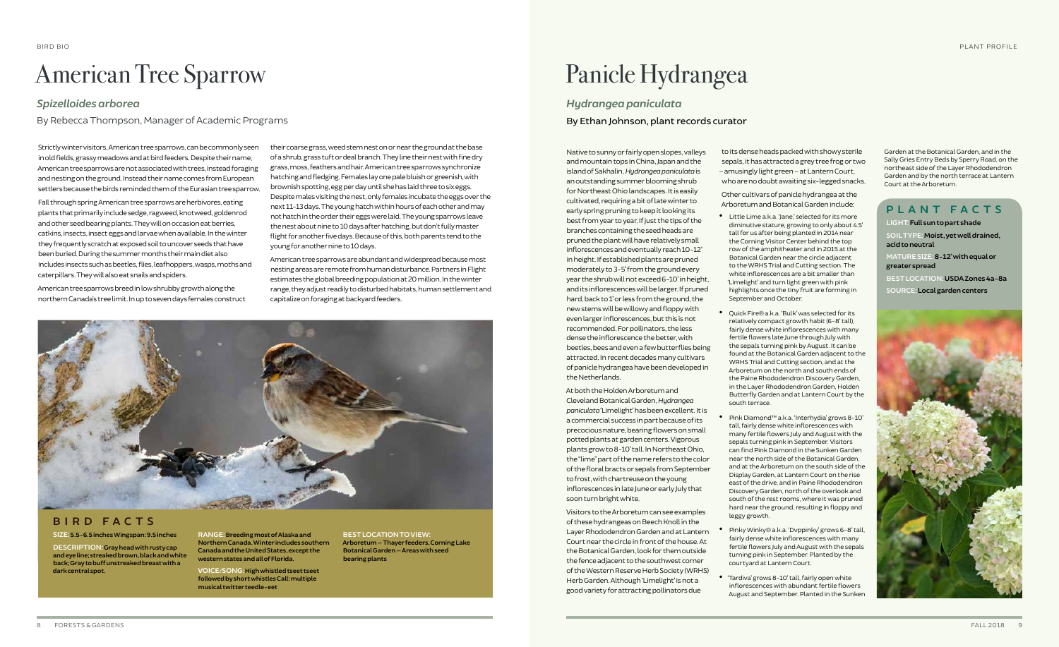Native to sunny or fairly open slopes, valleys and mountain tops in China, Japan and the island of Sakhalin, *Hydrangea paniculata* is an outstanding summer blooming shrub for Northeast Ohio landscapes. It is easily cultivated, requiring a bit of late winter to early spring pruning to keep it looking its best from year to year. If just the tips of the branches containing the seed heads are pruned the plant will have relatively small inflorescences and eventually reach 10-12' in height. If established plants are pruned moderately to 3-5' from the ground every year the shrub will not exceed 6-10' in height, and its inflorescences will be larger. If pruned hard, back to 1' or less from the ground, the new stems will be willowy and floppy with even larger inflorescences, but this is not recommended. For pollinators, the less dense the inflorescence the better, with beetles, bees and even a few butterflies being attracted. In recent decades many cultivars of panicle hydrangea have been developed in the Netherlands.

At both the Holden Arboretum and Cleveland Botanical Garden, *Hydrangea paniculata*'Limelight' has been excellent. It is a commercial success in part because of its precocious nature, bearing flowers on small potted plants at garden centers. Vigorous plants grow to 8-10' tall. In Northeast Ohio, the "lime" part of the name refers to the color of the floral bracts or sepals from September to frost, with chartreuse on the young inflorescences in late June or early July that soon turn bright white.

Visitors to the Arboretum can see examples of these hydrangeas on Beech Knoll in the Layer Rhododendron Garden and at Lantern Court near the circle in front of the house. At the Botanical Garden, look for them outside the fence adjacent to the southwest corner of the Western Reserve Herb Society (WRHS) Herb Garden. Although 'Limelight' is not a good variety for attracting pollinators due

to its dense heads packed with showy sterile sepals, it has attracted a grey tree frog or two – amusingly light green – at Lantern Court, who are no doubt awaiting six-legged snacks.

Other cultivars of panicle hydrangea at the Arboretum and Botanical Garden include:

• Little Lime a.k.a. 'Jane,' selected for its more diminutive stature, growing to only about 4.5' tall for us after being planted in 2014 near the Corning Visitor Center behind the top row of the amphitheater and in 2015 at the Botanical Garden near the circle adjacent to the WRHS Trial and Cutting section. The white inflorescences are a bit smaller than 'Limelight' and turn light green with pink highlights once the tiny fruit are forming in September and October.

• Quick Fire® a.k.a. 'Bulk' was selected for its relatively compact growth habit (6-8' tall), fairly dense white inflorescences with many fertile flowers late June through July with the sepals turning pink by August. It can be found at the Botanical Garden adjacent to the WRHS Trial and Cutting section, and at the Arboretum on the north and south ends of the Paine Rhododendron Discovery Garden, in the Layer Rhododendron Garden, Holden Butterfly Garden and at Lantern Court by the south terrace.

• Pink Diamond™ a.k.a. 'Interhydia' grows 8-10' tall, fairly dense white inflorescences with many fertile flowers July and August with the sepals turning pink in September. Visitors can find Pink Diamond in the Sunken Garden near the north side of the Botanical Garden, and at the Arboretum on the south side of the Display Garden, at Lantern Court on the rise east of the drive, and in Paine Rhododendron Discovery Garden, north of the overlook and south of the rest rooms, where it was pruned hard near the ground, resulting in floppy and leggy growth.

• Pinky Winky® a.k.a. 'Dvppinky' grows 6-8' tall, fairly dense white inflorescences with many fertile flowers July and August with the sepals turning pink in September. Planted by the courtyard at Lantern Court.

• 'Tardiva' grows 8-10' tall, fairly open white inflorescences with abundant fertile flowers August and September. Planted in the Sunken Garden at the Botanical Garden, and in the Sally Gries Entry Beds by Sperry Road, on the northeast side of the Layer Rhododendron Garden and by the north terrace at Lantern Court at the Arboretum.

### Panicle Hydrangea

*Hydrangea paniculata* By Ethan Johnson, plant records curator

Strictly winter visitors, American tree sparrows, can be commonly seen in old fields, grassy meadows and at bird feeders. Despite their name, American tree sparrows are not associated with trees, instead foraging and nesting on the ground. Instead their name comes from European settlers because the birds reminded them of the Eurasian tree sparrow.

Fall through spring American tree sparrows are herbivores, eating plants that primarily include sedge, ragweed, knotweed, goldenrod and other seed bearing plants. They will on occasion eat berries, catkins, insects, insect eggs and larvae when available. In the winter they frequently scratch at exposed soil to uncover seeds that have been buried. During the summer months their main diet also includes insects such as beetles, flies, leafhoppers, wasps, moths and caterpillars. They will also eat snails and spiders.

American tree sparrows breed in low shrubby growth along the northern Canada's tree limit. In up to seven days females construct their coarse grass, weed stem nest on or near the ground at the base of a shrub, grass tuft or deal branch. They line their nest with fine dry grass, moss, feathers and hair. American tree sparrows synchronize hatching and fledging. Females lay one pale bluish or greenish, with brownish spotting, egg per day until she has laid three to six eggs. Despite males visiting the nest, only females incubate the eggs over the next 11-13 days. The young hatch within hours of each other and may not hatch in the order their eggs were laid. The young sparrows leave the nest about nine to 10 days after hatching, but don't fully master flight for another five days. Because of this, both parents tend to the young for another nine to 10 days.

American tree sparrows are abundant and widespread because most nesting areas are remote from human disturbance. Partners in Flight estimates the global breeding population at 20 million. In the winter range, they adjust readily to disturbed habitats, human settlement and capitalize on foraging at backyard feeders.



### American Tree Sparrow

### *Spizelloides arborea*

By Rebecca Thompson, Manager of Academic Programs

### **BIRD FACTS**

#### **SIZE: 5.5-6.5 inches Wingspan: 9.5 inches**

**DESCRIPTION: Gray head with rusty cap and eye line; streaked brown, black and white back; Gray to buff unstreaked breast with a dark central spot.**

**RANGE: Breeding most of Alaska and Northern Canada. Winter includes southern Canada and the United States, except the western states and all of Florida.**

**VOICE/SONG: High whistled tseet tseet followed by short whistles Call: multiple musical twitter teedle-eet**

**BEST LOCATION TO VIEW: Arboretum — Thayer feeders, Corning Lake Botanical Garden — Areas with seed bearing plants**

#### **PLANT FACTS**

**LIGHT: Full sun to part shade**

**SOIL TYPE: Moist, yet well drained, acid to neutral**

**MATURE SIZE: 8-12' with equal or greater spread**

**BEST LOCATION: USDA Zones 4a-8a SOURCE: Local garden centers**

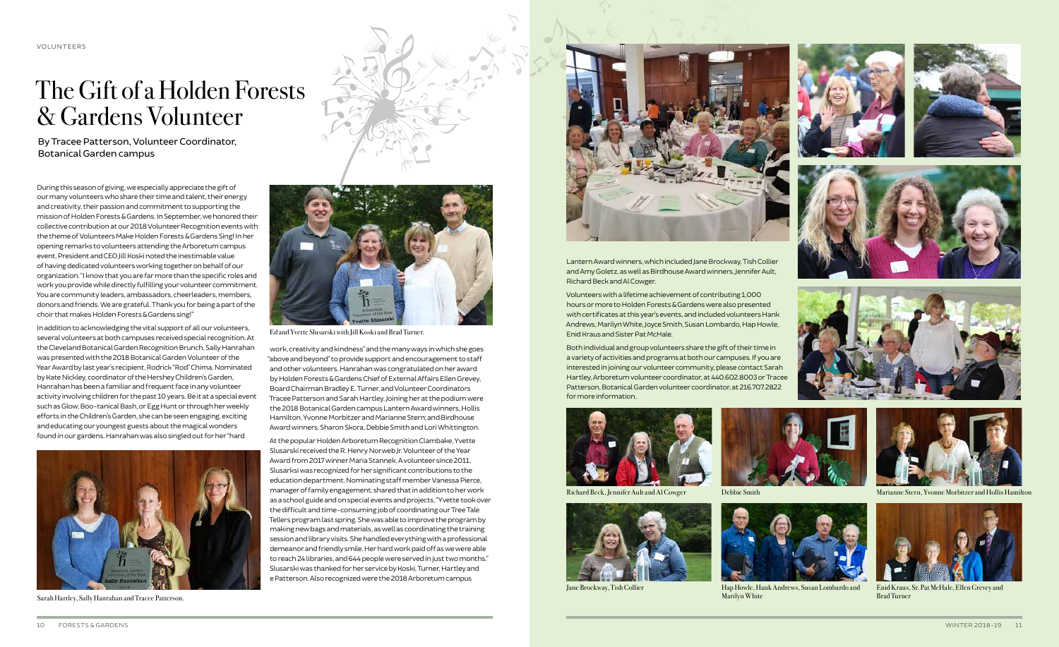









During this season of giving, we especially appreciate the gift of our many volunteers who share their time and talent, their energy and creativity, their passion and commitment to supporting the mission of Holden Forests & Gardens. In September, we honored their collective contribution at our 2018 Volunteer Recognition events with the theme of Volunteers Make Holden Forests & Gardens Sing! In her opening remarks to volunteers attending the Arboretum campus event, President and CEO Jill Koski noted the inestimable value of having dedicated volunteers working together on behalf of our organization. "I know that you are far more than the specific roles and work you provide while directly fulfilling your volunteer commitment. You are community leaders, ambassadors, cheerleaders, members, donors and friends. We are grateful. Thank you for being a part of the choir that makes Holden Forests & Gardens sing!"

In addition to acknowledging the vital support of all our volunteers, several volunteers at both campuses received special recognition. At the Cleveland Botanical Garden Recognition Brunch, Sally Hanrahan was presented with the 2018 Botanical Garden Volunteer of the Year Award by last year's recipient, Rodrick "Rod" Chima. Nominated by Kate Nickley, coordinator of the Hershey Children's Garden, Hanrahan has been a familiar and frequent face in any volunteer activity involving children for the past 10 years. Be it at a special event such as Glow, Boo-tanical Bash, or Egg Hunt or through her weekly efforts in the Children's Garden, she can be seen engaging, exciting and educating our youngest guests about the magical wonders found in our gardens. Hanrahan was also singled out for her "hard



work, creativity and kindness" and the many ways in which she goes "above and beyond" to provide support and encouragement to staff and other volunteers. Hanrahan was congratulated on her award by Holden Forests & Gardens Chief of External Affairs Ellen Grevey, Board Chairman Bradley E. Turner, and Volunteer Coordinators Tracee Patterson and Sarah Hartley. Joining her at the podium were the 2018 Botanical Garden campus Lantern Award winners, Hollis Hamilton, Yvonne Morbitzer and Marianne Stern; and Birdhouse Award winners, Sharon Skora, Debbie Smith and Lori Whittington.

hard Beck, Jennifer Ault and Al Cowger



Jane Brockway, Tish Collier



Hap Howle, Hank Andrews, Susan Lombardo and Marilyn White Sarah Hartley, Sally Hanrahan and Tracee Patterson. Brad Turner Research Martilyn White Brad Turner Research Martilyn White Brad Turner

At the popular Holden Arboretum Recognition Clambake, Yvette Slusarski received the R. Henry Norweb Jr. Volunteer of the Year Award from 2017 winner Maria Stannek. A volunteer since 2011, Slusarksi was recognized for her significant contributions to the education department. Nominating staff member Vanessa Pierce, manager of family engagement, shared that in addition to her work as a school guide and on special events and projects, "Yvette took over the difficult and time-consuming job of coordinating our Tree Tale Tellers program last spring. She was able to improve the program by making new bags and materials, as well as coordinating the training session and library visits. She handled everything with a professional demeanor and friendly smile. Her hard work paid off as we were able to reach 24 libraries, and 644 people were served in just two months." Slusarski was thanked for her service by Koski, Turner, Hartley and e Patterson. Also recognized were the 2018 Arboretum campus



Lantern Award winners, which included Jane Brockway, Tish Collier and Amy Goletz, as well as Birdhouse Award winners, Jennifer Ault, Richard Beck and Al Cowger.

Volunteers with a lifetime achievement of contributing 1,000 hours or more to Holden Forests & Gardens were also presented with certificates at this year's events, and included volunteers Hank Andrews, Marilyn White, Joyce Smith, Susan Lombardo, Hap Howle, Enid Kraus and Sister Pat McHale.

Both individual and group volunteers share the gift of their time in a variety of activities and programs at both our campuses. If you are interested in joining our volunteer community, please contact Sarah Hartley, Arboretum volunteer coordinator, at 440.602.8003 or Tracee Patterson, Botanical Garden volunteer coordinator, at 216.707.2822 for more information.



### The Gift of a Holden Forests & Gardens Volunteer

By Tracee Patterson, Volunteer Coordinator, Botanical Garden campus



Ed and Yvette Slusarski with Jill Koski and Brad Turner.



Debbie Smith Marianne Stern, Yvonne Morbitzer and Hollis Hamilton



Enid Kraus, Sr. Pat McHale, Ellen Grevey and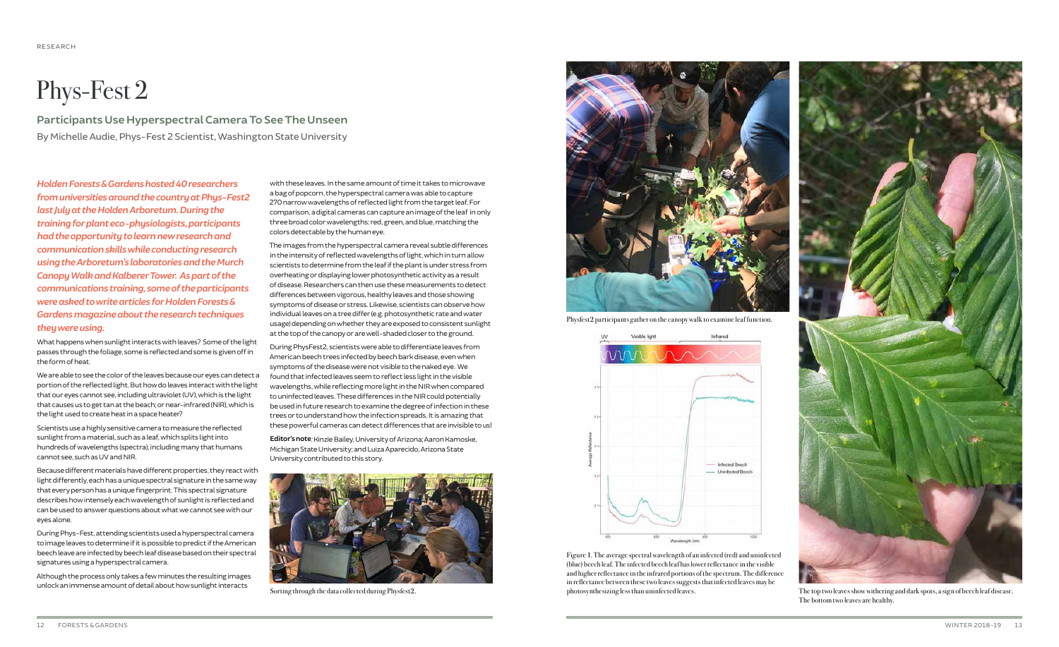*Holden Forests & Gardens hosted 40 researchers from universities around the country at Phys-Fest2 last July at the Holden Arboretum. During the training for plant eco-physiologists, participants had the opportunity to learn new research and communication skills while conducting research using the Arboretum's laboratories and the Murch Canopy Walk and Kalberer Tower. As part of the communications training, some of the participants were asked to write articles for Holden Forests & Gardens magazine about the research techniques they were using.*

What happens when sunlight interacts with leaves? Some of the light passes through the foliage, some is reflected and some is given off in the form of heat.

We are able to see the color of the leaves because our eyes can detect a portion of the reflected light. But how do leaves interact with the light that our eyes cannot see, including ultraviolet (UV), which is the light that causes us to get tan at the beach; or near-infrared (NIR), which is the light used to create heat in a space heater?

Scientists use a highly sensitive camera to measure the reflected sunlight from a material, such as a leaf, which splits light into hundreds of wavelengths (spectra), including many that humans cannot see, such as UV and NIR.

Because different materials have different properties, they react with light differently, each has a unique spectral signature in the same way that every person has a unique fingerprint. This spectral signature describes how intensely each wavelength of sunlight is reflected and can be used to answer questions about what we cannot see with our eyes alone.

During Phys-Fest, attending scientists used a hyperspectral camera to image leaves to determine if it is possible to predict if the American beech leave are infected by beech leaf disease based on their spectral signatures using a hyperspectral camera.

Although the process only takes a few minutes the resulting images unlock an immense amount of detail about how sunlight interacts

with these leaves. In the same amount of time it takes to microwave a bag of popcorn, the hyperspectral camera was able to capture 270 narrow wavelengths of reflected light from the target leaf. For comparison, a digital cameras can capture an image of the leaf in only three broad color wavelengths: red, green, and blue, matching the colors detectable by the human eye.

The images from the hyperspectral camera reveal subtle differences in the intensity of reflected wavelengths of light, which in turn allow scientists to determine from the leaf if the plant is under stress from overheating or displaying lower photosynthetic activity as a result of disease. Researchers can then use these measurements to detect differences between vigorous, healthy leaves and those showing symptoms of disease or stress. Likewise, scientists can observe how individual leaves on a tree differ (e.g. photosynthetic rate and water usage) depending on whether they are exposed to consistent sunlight at the top of the canopy or are well-shaded closer to the ground.

During PhysFest2, scientists were able to differentiate leaves from American beech trees infected by beech bark disease, even when symptoms of the disease were not visible to the naked eye. We found that infected leaves seem to reflect less light in the visible wavelengths, while reflecting more light in the NIR when compared to uninfected leaves. These differences in the NIR could potentially be used in future research to examine the degree of infection in these trees or to understand how the infection spreads. It is amazing that these powerful cameras can detect differences that are invisible to us!

**Editor's note***:* Kinzie Bailey, University of Arizona; Aaron Kamoske, Michigan State University; and Luiza Aparecido, Arizona State University contributed to this story.



Sorting through the data collected during Physfest2. photosynthesizing less than uninfected leaves.

## Phys-Fest 2

**Participants Use Hyperspectral Camera To See The Unseen** By Michelle Audie, Phys-Fest 2 Scientist, Washington State University



in reflectance between these two leaves suggests that infected leaves may be



The top two leaves show withering and dark spots, a sign of beech leaf disease. The bottom two leaves are healthy.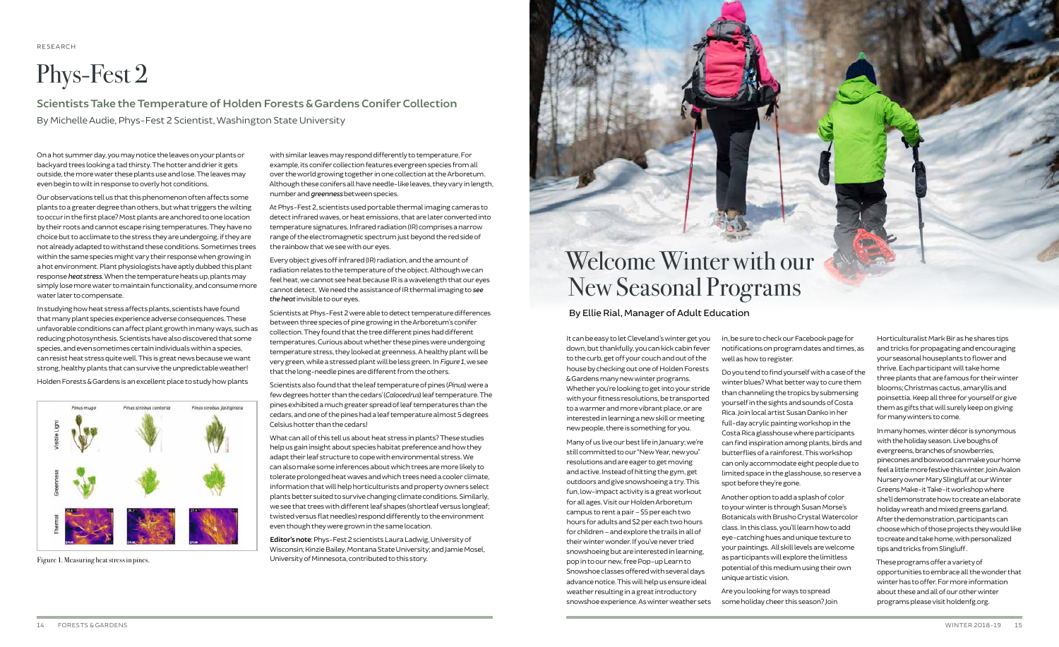It can be easy to let Cleveland's winter get you down, but thankfully, you can kick cabin fever to the curb, get off your couch and out of the house by checking out one of Holden Forests & Gardens many new winter programs. Whether you're looking to get into your stride with your fitness resolutions, be transported to a warmer and more vibrant place, or are interested in learning a new skill or meeting new people, there is something for you.

Many of us live our best life in January; we're still committed to our "New Year, new you" resolutions and are eager to get moving and active. Instead of hitting the gym, get outdoors and give snowshoeing a try. This fun, low-impact activity is a great workout for all ages. Visit our Holden Arboretum campus to rent a pair – \$5 per each two hours for adults and \$2 per each two hours for children – and explore the trails in all of their winter wonder. If you've never tried snowshoeing but are interested in learning, pop in to our new, free Pop-up Learn to Snowshoe classes offered with several days advance notice. This will help us ensure ideal weather resulting in a great introductory snowshoe experience. As winter weather sets

in, be sure to check our Facebook page for notifications on program dates and times, as well as how to register.

Do you tend to find yourself with a case of the winter blues? What better way to cure them than channeling the tropics by submersing yourself in the sights and sounds of Costa Rica. Join local artist Susan Danko in her full-day acrylic painting workshop in the Costa Rica glasshouse where participants can find inspiration among plants, birds and butterflies of a rainforest. This workshop can only accommodate eight people due to limited space in the glasshouse, so reserve a spot before they're gone.

Another option to add a splash of color to your winter is through Susan Morse's Botanicals with Brusho Crystal Watercolor class. In this class, you'll learn how to add eye-catching hues and unique texture to your paintings. All skill levels are welcome as participants will explore the limitless potential of this medium using their own unique artistic vision.

Are you looking for ways to spread some holiday cheer this season? Join Horticulturalist Mark Bir as he shares tips and tricks for propagating and encouraging your seasonal houseplants to flower and thrive. Each participant will take home three plants that are famous for their winter blooms; Christmas cactus, amaryllis and poinsettia. Keep all three for yourself or give them as gifts that will surely keep on giving for many winters to come.

In many homes, winter décor is synonymous with the holiday season. Live boughs of evergreens, branches of snowberries, pinecones and boxwood can make your home feel a little more festive this winter. Join Avalon Nursery owner Mary Slingluff at our Winter Greens Make-it Take-it workshop where she'll demonstrate how to create an elaborate holiday wreath and mixed greens garland. After the demonstration, participants can choose which of those projects they would like to create and take home, with personalized tips and tricks from Slingluff .

These programs offer a variety of opportunities to embrace all the wonder that winter has to offer. For more information about these and all of our other winter programs please visit holdenfg.org.

?

### Welcome Winter with our New Seasonal Programs By Ellie Rial, Manager of Adult Education

RESEARCH

# Phys-Fest 2

**Scientists Take the Temperature of Holden Forests & Gardens Conifer Collection** By Michelle Audie, Phys-Fest 2 Scientist, Washington State University

**Editor's note**: Phys-Fest 2 scientists Laura Ladwig, University of Wisconsin; Kinzie Bailey, Montana State University; and Jamie Mosel, Figure 1. Measuring heat stress in pines. Contributed to this story.



On a hot summer day, you may notice the leaves on your plants or backyard trees looking a tad thirsty. The hotter and drier it gets outside, the more water these plants use and lose. The leaves may even begin to wilt in response to overly hot conditions.

Our observations tell us that this phenomenon often affects some plants to a greater degree than others, but what triggers the wilting to occur in the first place? Most plants are anchored to one location by their roots and cannot escape rising temperatures. They have no choice but to acclimate to the stress they are undergoing, if they are not already adapted to withstand these conditions. Sometimes trees within the same species might vary their response when growing in a hot environment. Plant physiologists have aptly dubbed this plant response *heat stress*. When the temperature heats up, plants may simply lose more water to maintain functionality, and consume more water later to compensate.

In studying how heat stress affects plants, scientists have found that many plant species experience adverse consequences. These unfavorable conditions can affect plant growth in many ways, such as reducing photosynthesis. Scientists have also discovered that some species, and even sometimes certain individuals within a species, can resist heat stress quite well. This is great news because we want strong, healthy plants that can survive the unpredictable weather!

Holden Forests & Gardens is an excellent place to study how plants



with similar leaves may respond differently to temperature. For example, its conifer collection features evergreen species from all over the world growing together in one collection at the Arboretum. Although these conifers all have needle-like leaves, they vary in length, number and *greenness* between species.

At Phys-Fest 2, scientists used portable thermal imaging cameras to detect infrared waves, or heat emissions, that are later converted into temperature signatures. Infrared radiation (IR) comprises a narrow range of the electromagnetic spectrum just beyond the red side of the rainbow that we see with our eyes.

Every object gives off infrared (IR) radiation, and the amount of radiation relates to the temperature of the object. Although we can feel heat, we cannot see heat because IR is a wavelength that our eyes cannot detect. We need the assistance of IR thermal imaging to *see the heat* invisible to our eyes.

Scientists at Phys-Fest 2 were able to detect temperature differences between three species of pine growing in the Arboretum's conifer collection. They found that the tree different pines had different temperatures. Curious about whether these pines were undergoing temperature stress, they looked at greenness. A healthy plant will be very green, while a stressed plant will be less green. In *Figure 1*, we see that the long-needle pines are different from the others.

Scientists also found that the leaf temperature of pines (*Pinus*) were a few degrees hotter than the cedars' (*Calocedrus*) leaf temperature. The pines exhibited a much greater spread of leaf temperatures than the cedars, and one of the pines had a leaf temperature almost 5 degrees Celsius hotter than the cedars!

What can all of this tell us about heat stress in plants? These studies help us gain insight about species habitat preference and how they adapt their leaf structure to cope with environmental stress. We can also make some inferences about which trees are more likely to tolerate prolonged heat waves and which trees need a cooler climate, information that will help horticulturists and property owners select plants better suited to survive changing climate conditions. Similarly, we see that trees with different leaf shapes (shortleaf versus longleaf; twisted versus flat needles) respond differently to the environment even though they were grown in the same location.